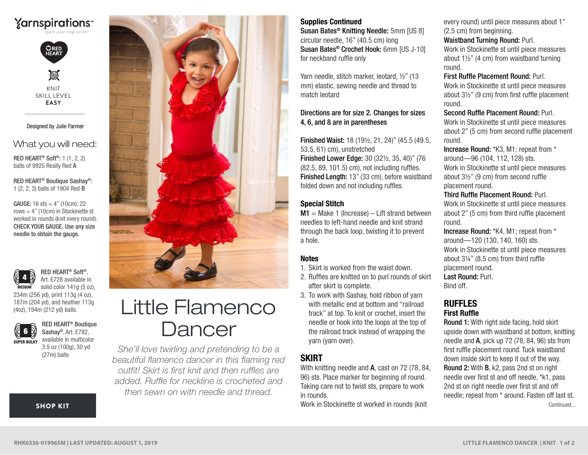



M KNIT SKILL LEVEL **EASY**

#### Designed by Julie Farmer

# What you will need:

RED HEART® Soft®: 1 (1, 2, 2) balls of 9925 Really Red A

RED HEART® Boutique Sashay®: 1 (2, 2, 3) balls of 1904 Red B

worked in rounds (knit every round). CHECK YOUR GAUGE. Use any size needle to obtain the gauge. **GAUGE:** 16 sts =  $4"$  (10cm); 22 rows  $= 4$ " (10cm) in Stockinette st



RED HEART® Soft®, Art. E728 available in solid color 141g (5 oz),

234m (256 yd), print 113g (4 oz), 187m (204 yd), and heather 113g (4oz), 194m (212 yd) balls.



RED HEART® Boutique Sashay®, Art. E782, available in multicolor 3.5 oz (100g), 30 yd (27m) balls

[SHOP KIT](https://www.yarnspirations.com/red-heart-little-flamenco-dancer/RHK0336-019965M.html#utm_source=pdf-yarnspirations&utm_medium=referral&utm_campaign=pdf-RHK0336-019965M)



# Little Flamenco **Dancer**

*She'll love twirling and pretending to be a beautiful flamenco dancer in this flaming red outfit! Skirt is first knit and then ruffles are added. Ruffle for neckline is crocheted and then sewn on with needle and thread.*

#### Supplies Continued

Susan Bates® Knitting Needle: 5mm [US 8] circular needle, 16" (40.5 cm) long Susan Bates® Crochet Hook: 6mm [US J-10] for neckband ruffle only

Yarn needle, stitch marker, leotard, ½" (13 mm) elastic, sewing needle and thread to match leotard

#### Directions are for size 2. Changes for sizes 4, 6, and 8 are in parentheses

Finished Waist: 18 (19½, 21, 24)" (45.5 (49.5, 53.5, 61) cm), unstretched Finished Lower Edge: 30 (32½, 35, 40)" (76 (82.5, 89, 101.5) cm), not including ruffles. Finished Length: 13" (33 cm), before waistband folded down and not including ruffles.

#### Special Stitch

 $M1 =$  Make 1 (Increase) – Lift strand between needles to left-hand needle and knit strand through the back loop, twisting it to prevent a hole.

#### Notes

- 1. Skirt is worked from the waist down.
- 2. Ruffles are knitted on to purl rounds of skirt after skirt is complete.
- 3. To work with Sashay, hold ribbon of yarn with metallic end at bottom and "railroad track" at top. To knit or crochet, insert the needle or hook into the loops at the top of the railroad track instead of wrapping the yarn (yarn over).

# **SKIRT**

With knitting needle and A, cast on 72 (78, 84, 96) sts. Place marker for beginning of round. Taking care not to twist sts, prepare to work in rounds.

Work in Stockinette st worked in rounds (knit

every round) until piece measures about 1" (2.5 cm) from beginning.

#### Waistband Turning Round: Purl.

Work in Stockinette st until piece measures about 1½" (4 cm) from waistband turning round.

#### First Ruffle Placement Round: Purl.

Work in Stockinette st until piece measures about 3½" (9 cm) from first ruffle placement round.

Second Ruffle Placement Round: Purl.

Work in Stockinette st until piece measures about 2" (5 cm) from second ruffle placement round.

Increase Round: \*K3, M1; repeat from \* around—96 (104, 112, 128) sts. Work in Stockinette st until piece measures about 3½" (9 cm) from second ruffle placement round.

#### Third Ruffle Placement Round: Purl.

Work in Stockinette st until piece measures about 2" (5 cm) from third ruffle placement round.

Increase Round: \*K4, M1; repeat from \* around—120 (130, 140, 160) sts. Work in Stockinette st until piece measures about 3¼" (8.5 cm) from third ruffle placement round. Last Round: Purl. Bind off.

#### RUFFLES First Ruffle

Round 1: With right side facing, hold skirt upside down with waistband at bottom, knitting needle and A, pick up 72 (78, 84, 96) sts from first ruffle placement round. Tuck waistband down inside skirt to keep it out of the way. Round 2: With B, k2, pass 2nd st on right needle over first st and off needle, \*k1, pass 2nd st on right needle over first st and off needle; repeat from \* around. Fasten off last st. Continued...

©2013 Coats & Clark **RHK0336-019965M | LAST UPDATED: AUGUST 1, 2019**